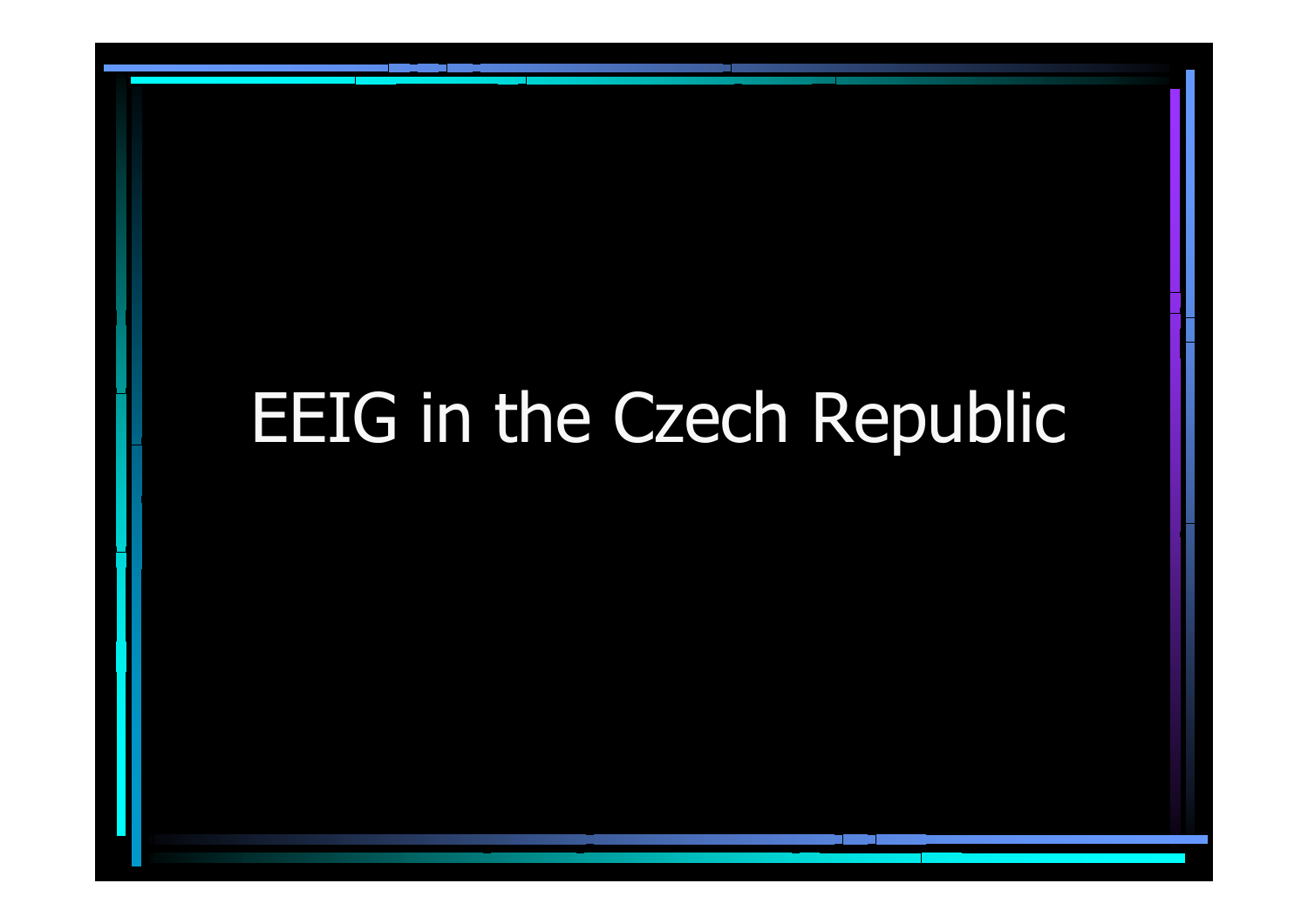# EEIG in the Czech Republic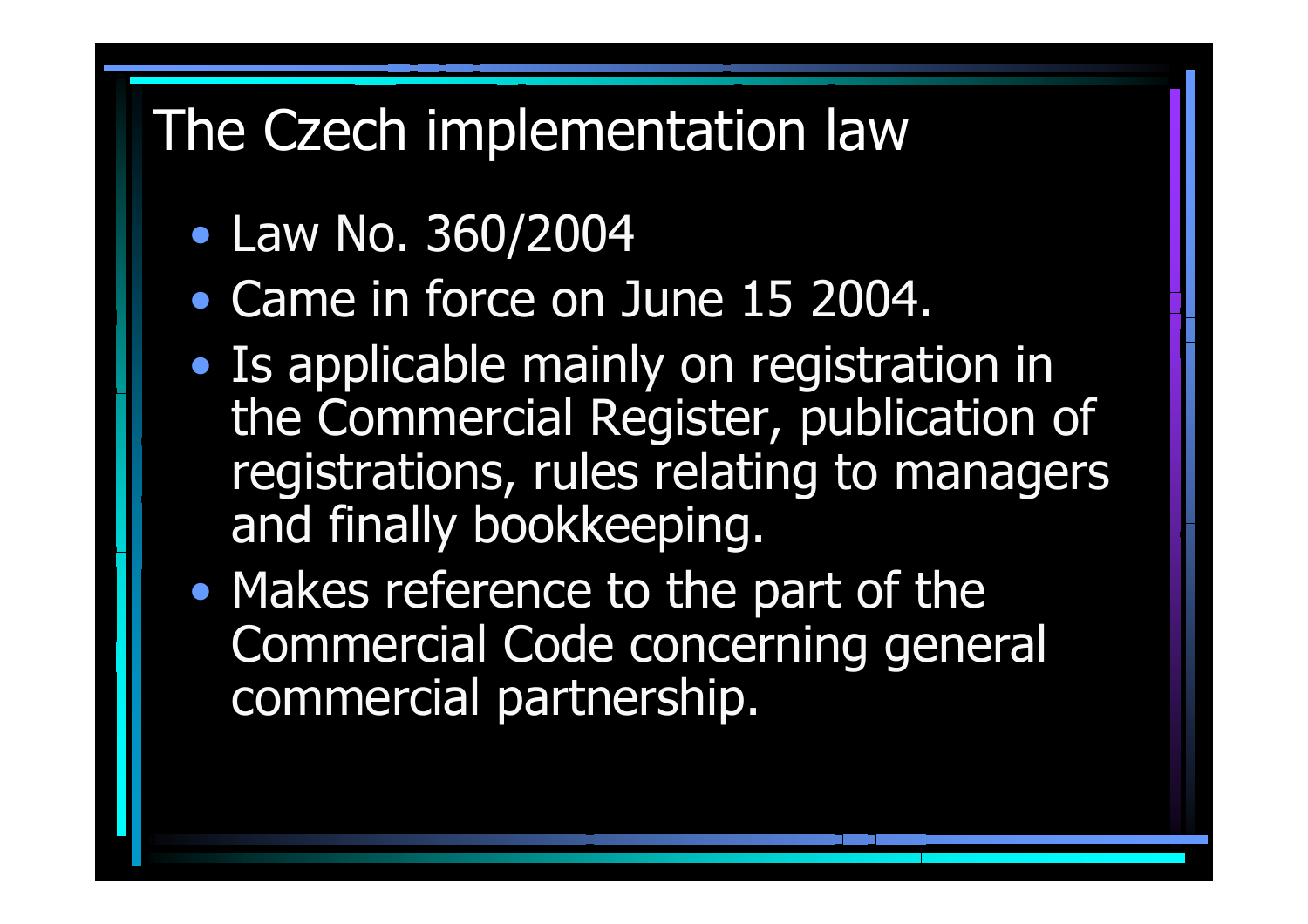# The Czech implementation law

- $\bullet$ Law No. 360/2004
- Came in force on June 15 2004.
- $\bullet$ • Is applicable mainly on registration in the Commercial Register, publication of registrations, rules relating to managers and finally bookkeeping.
- •• Makes reference to the part of the Commercial Code concerning general commercial partnership.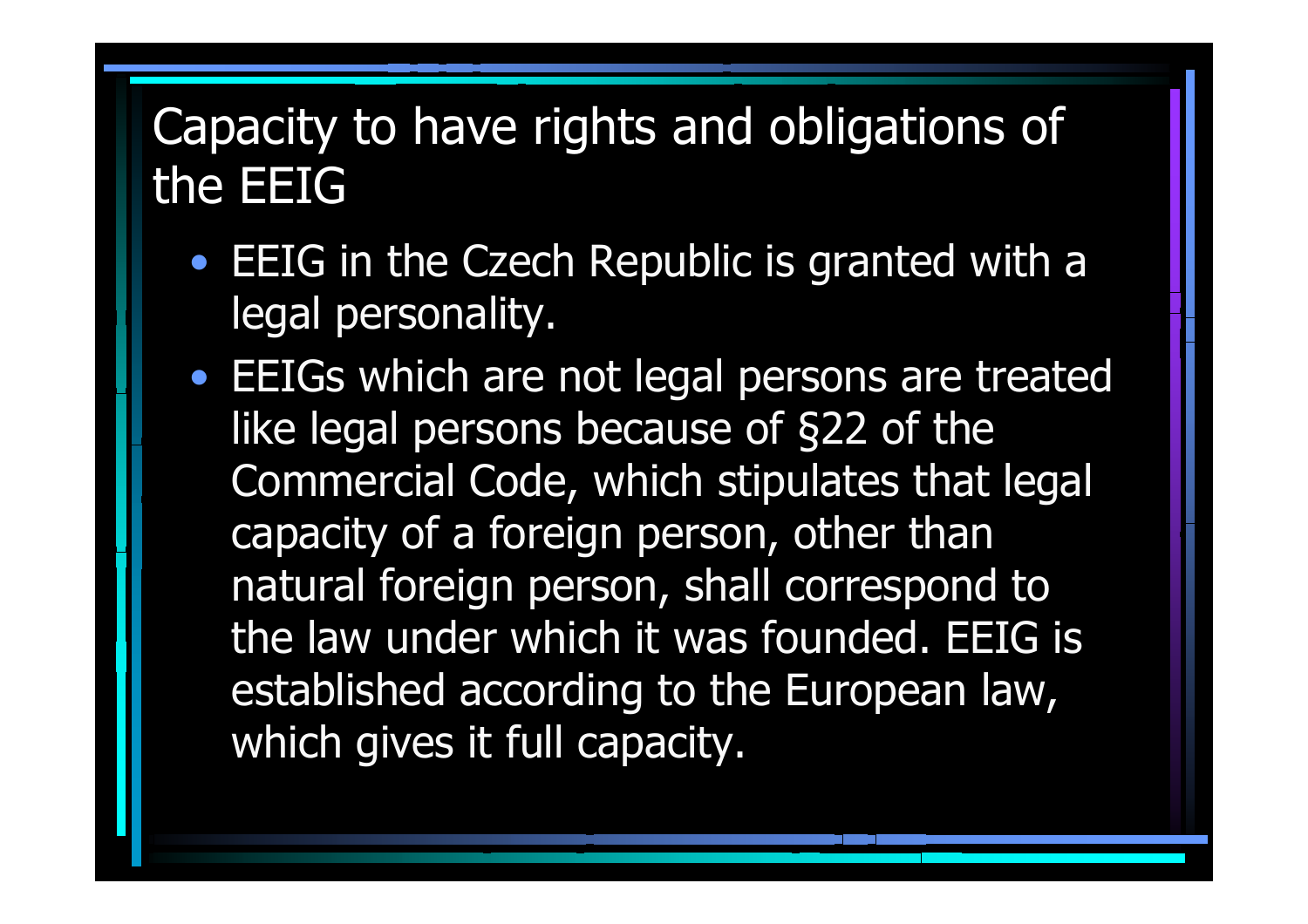### Capacity to have rights and obligations of the EEIG

- EEIG in the Czech Republic is granted with a legal personality.
- EEIGs which are not legal persons are treated like legal persons because of §22 of the Commercial Code, which stipulates that legal capacity of a foreign person, other than natural foreign person, shall correspond to the law under which it was founded. EEIG is established according to the European law, which gives it full capacity.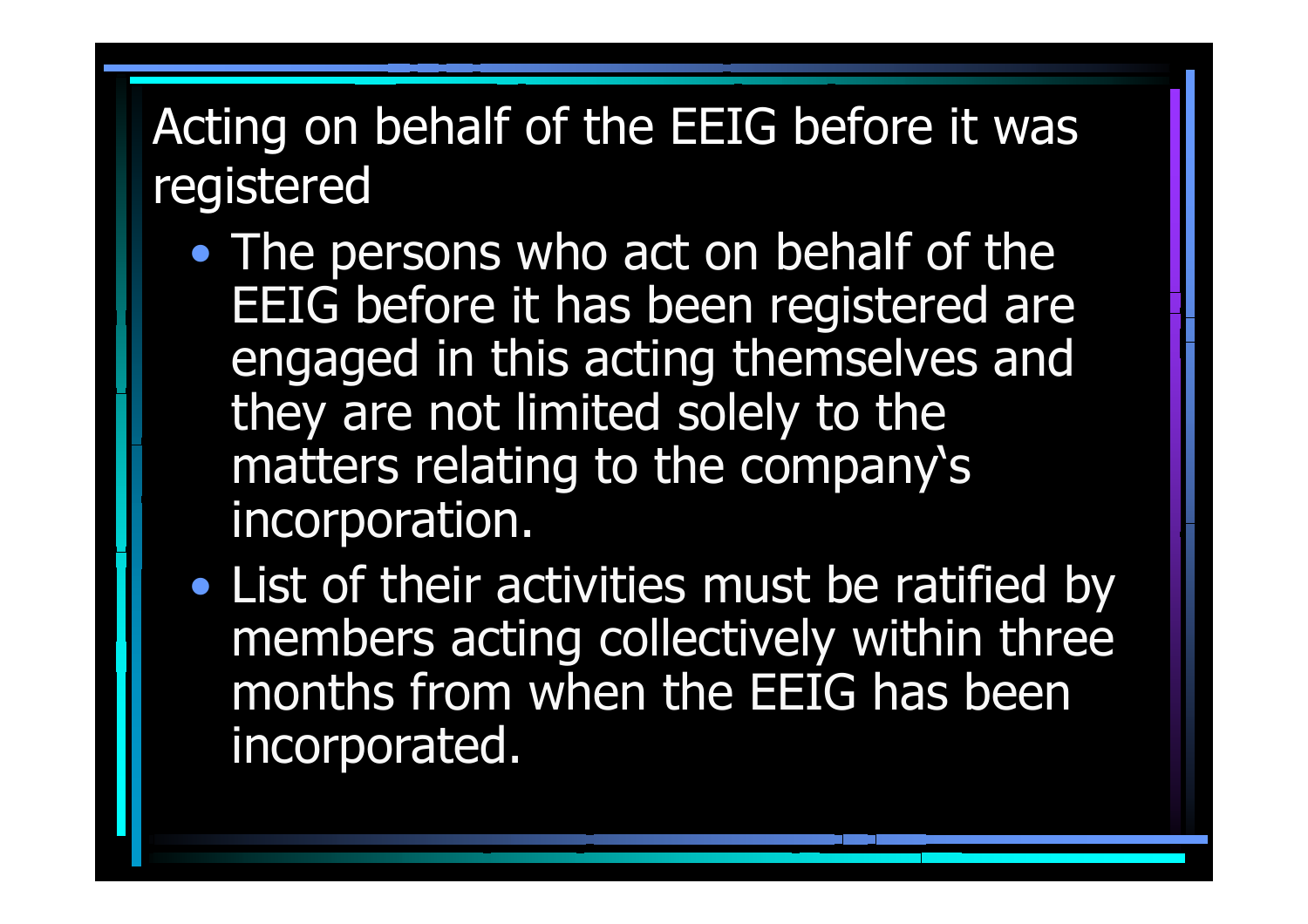### Acting on behalf of the EEIG before it was registered

- •• The persons who act on behalf of the EEIG before it has been registered are engaged in this acting themselves and they are not limited solely to the matters relating to the company's incorporation.
- $\bullet$ • List of their activities must be ratified by members acting collectively within three months from when the EEIG has been incorporated.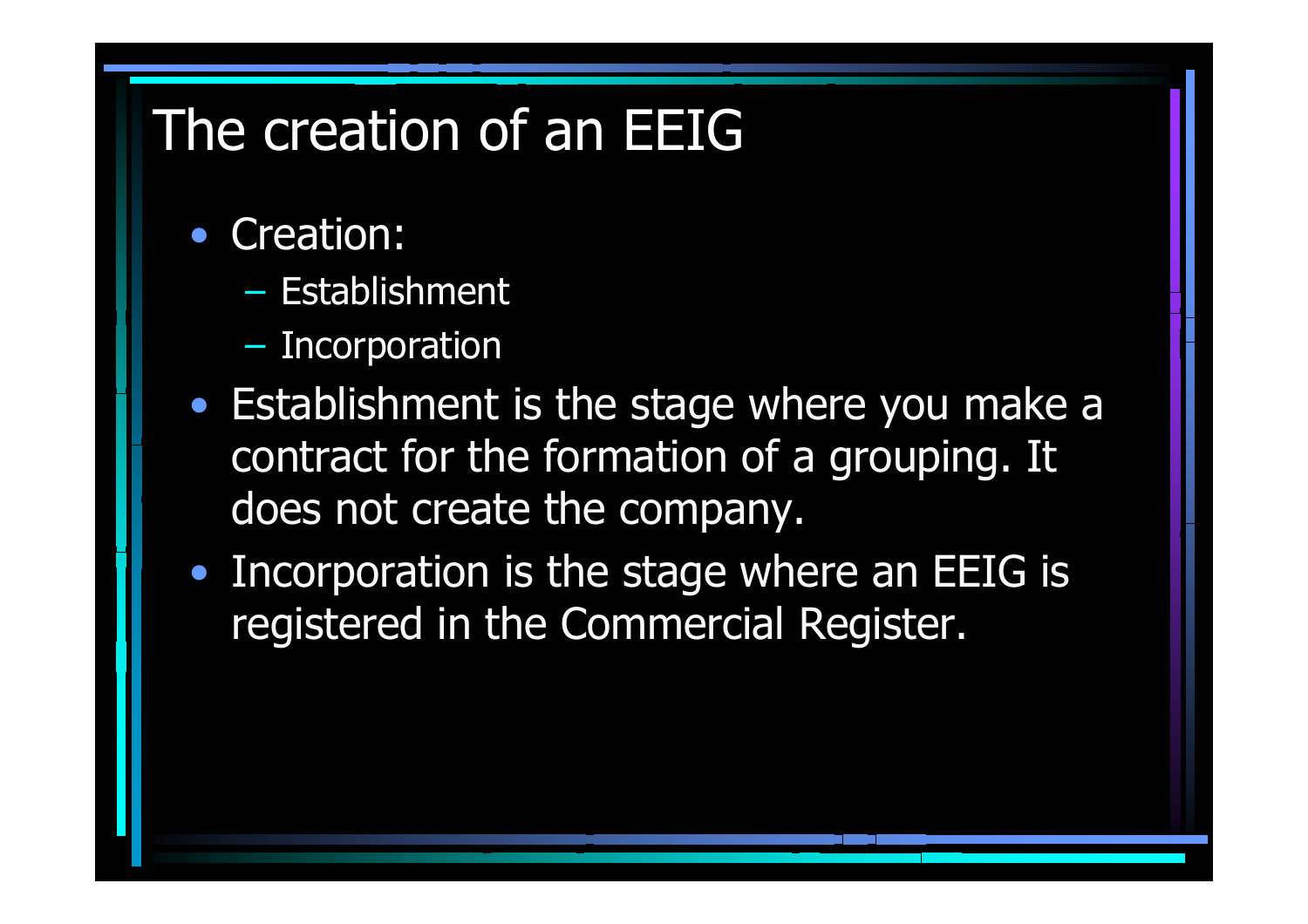# The creation of an EEIG

- Creation:
	- Establishment
	- Incorporation
- Establishment is the stage where you make a contract for the formation of a grouping. It does not create the company.
- Incorporation is the stage where an EEIG is registered in the Commercial Register.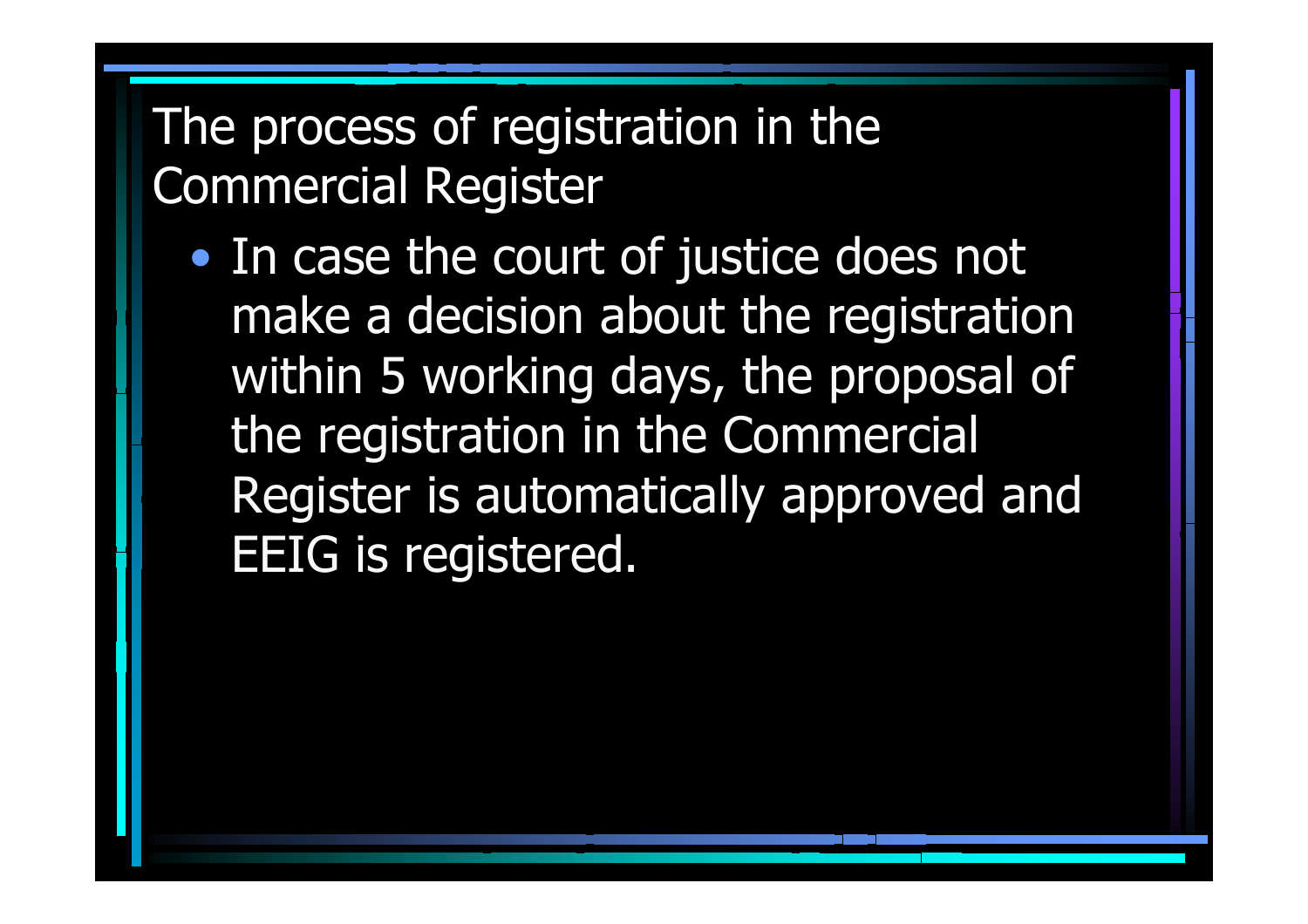### The process of registration in the Commercial Register

 $\bullet$ • In case the court of justice does not make a decision about the registration within 5 working days, the proposal of the registration in the Commercial Register is automatically approved and EEIG is registered.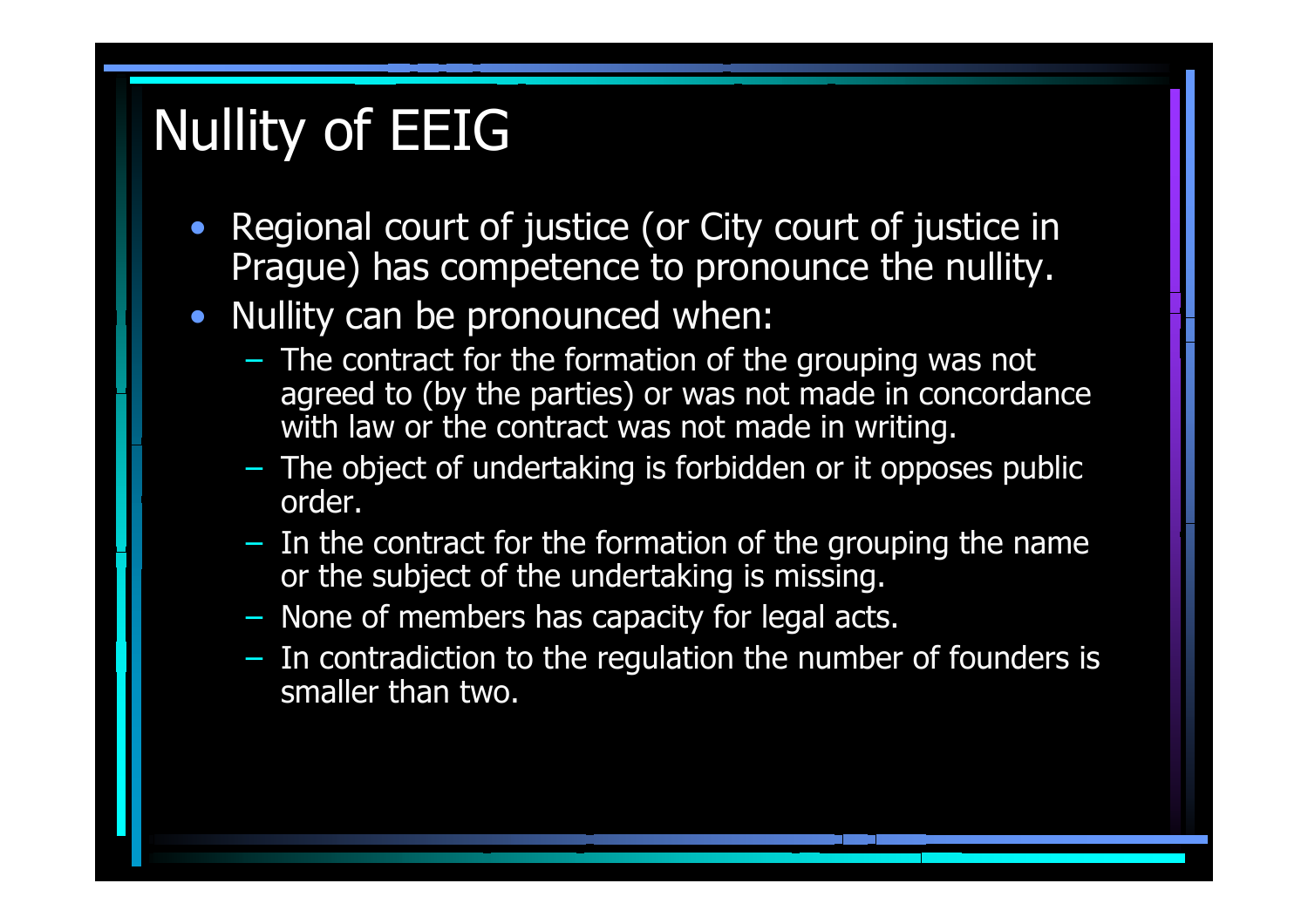# Nullity of EEIG

- $\bullet$  Regional court of justice (or City court of justice in Prague) has competence to pronounce the nullity.
- Nullity can be pronounced when:
	- The contract for the formation of the grouping was not agreed to (by the parties) or was not made in concordance with law or t he contract was not made in writing.
	- The object of undertaking is forbidden or it opposes public order.
	- In the contract for the formation of the grouping the name or the subject of the undertaking is missing.
	- None of members has capacity for legal acts.
	- In contradicti on to the regulation the number of founders is smaller than two.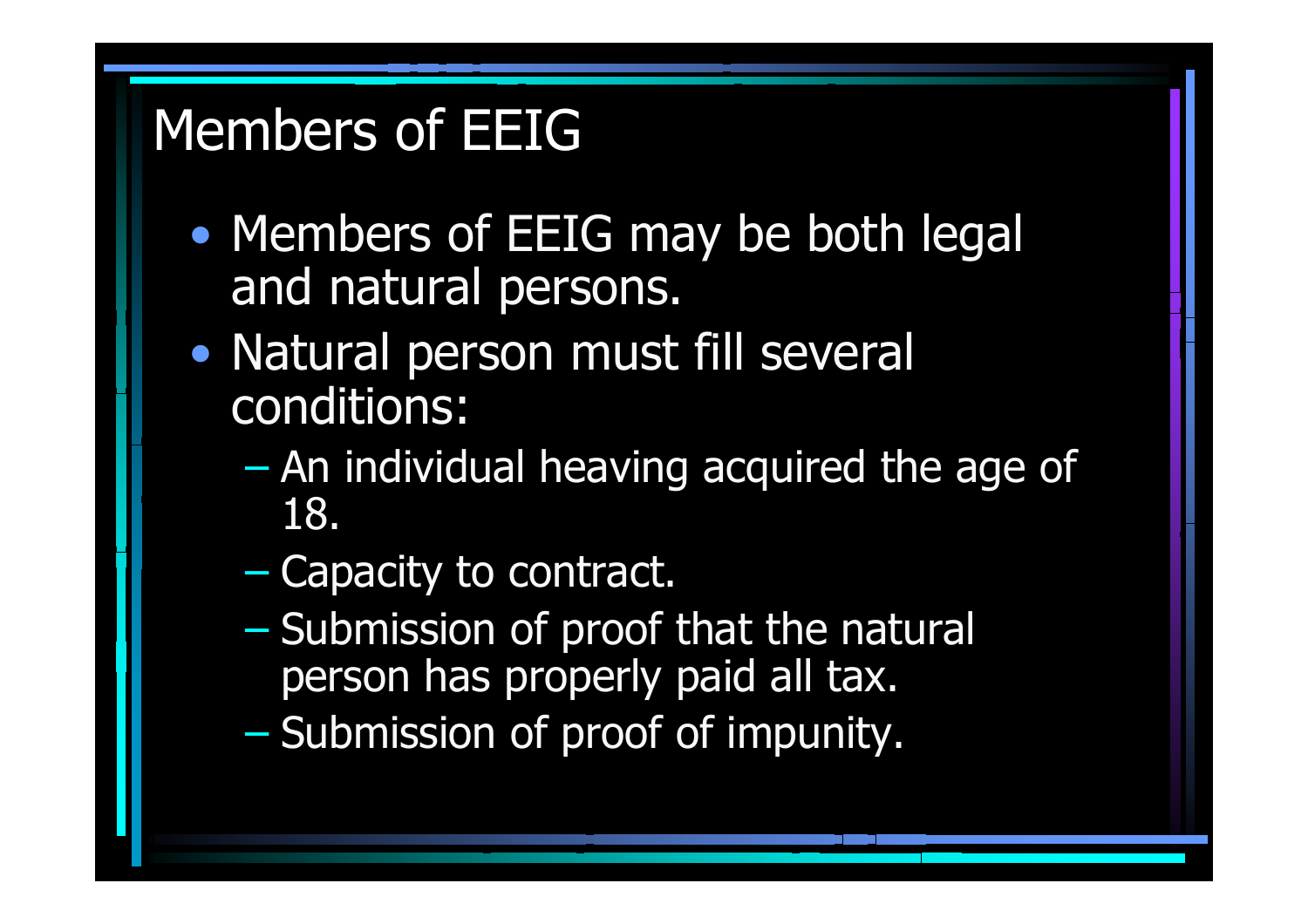# Members of EEIG

- $\bullet$ • Members of EEIG may be both legal and natural persons.
- $\bullet$ • Natural person must fill several conditions:
	- $\mathcal{L}_{\mathcal{A}}$  An individual heaving acquired the age of 18.
	- –– Capacity to contract.
	- $\mathcal{L}_{\mathcal{A}}$ – Submission of proof that the natural person has properly paid all tax.
	- –– Submission of proof of impunity.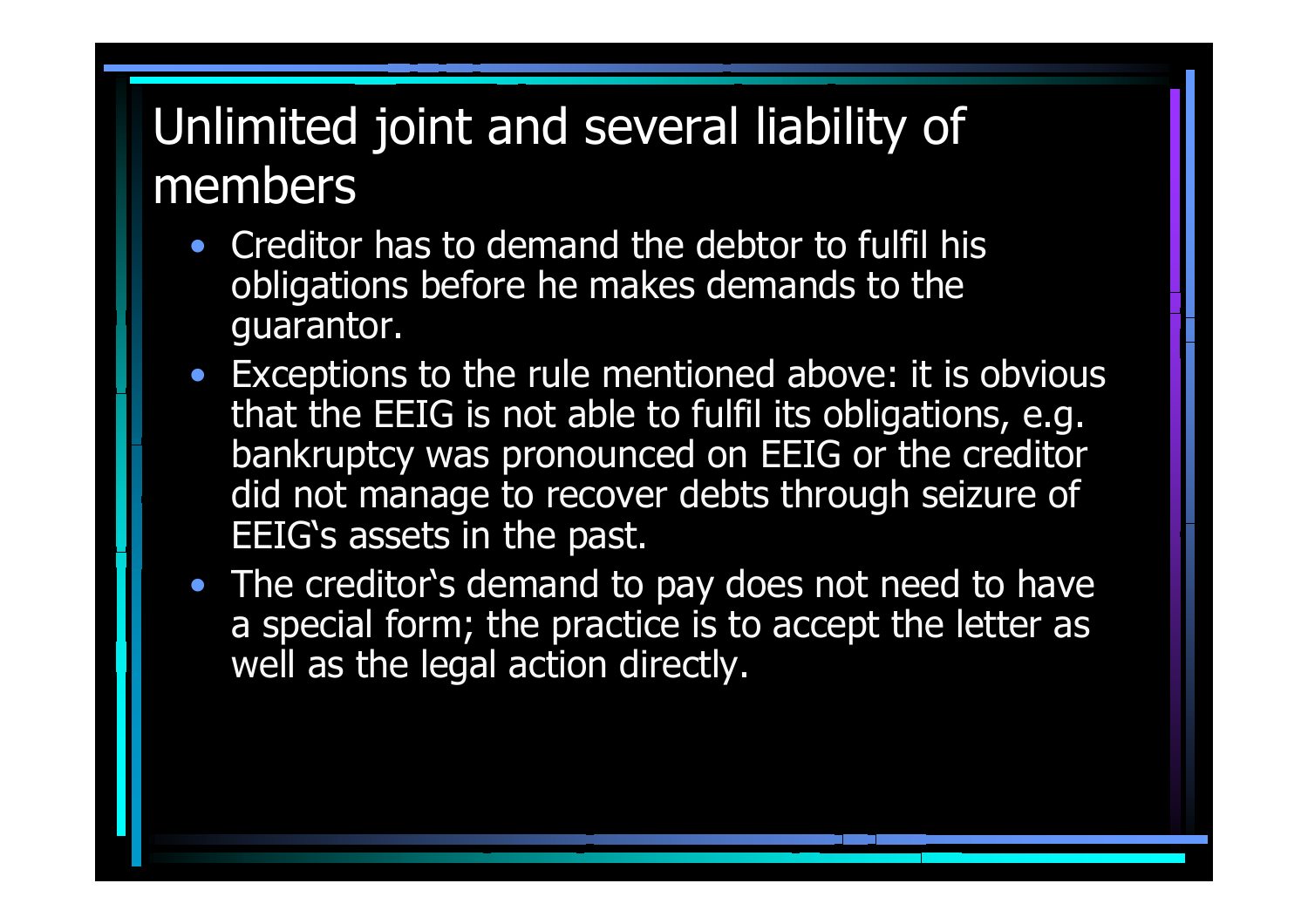## Unlimited joint and several liability of members

- Creditor has to demand the debtor to fulfil his obligations before he makes demands to the guarantor.
- Exceptions to the rule mentioned above: it is obvious that the EEIG is not able to fulfil its obligations, e.g. bankruptcy was pronounced on EEIG or the creditor did not manage to recover debts through seizure of EEIG's assets in the past.
- The creditor's demand to pay does not need to have a special form; the practice is to accept the letter as well as the legal action directly.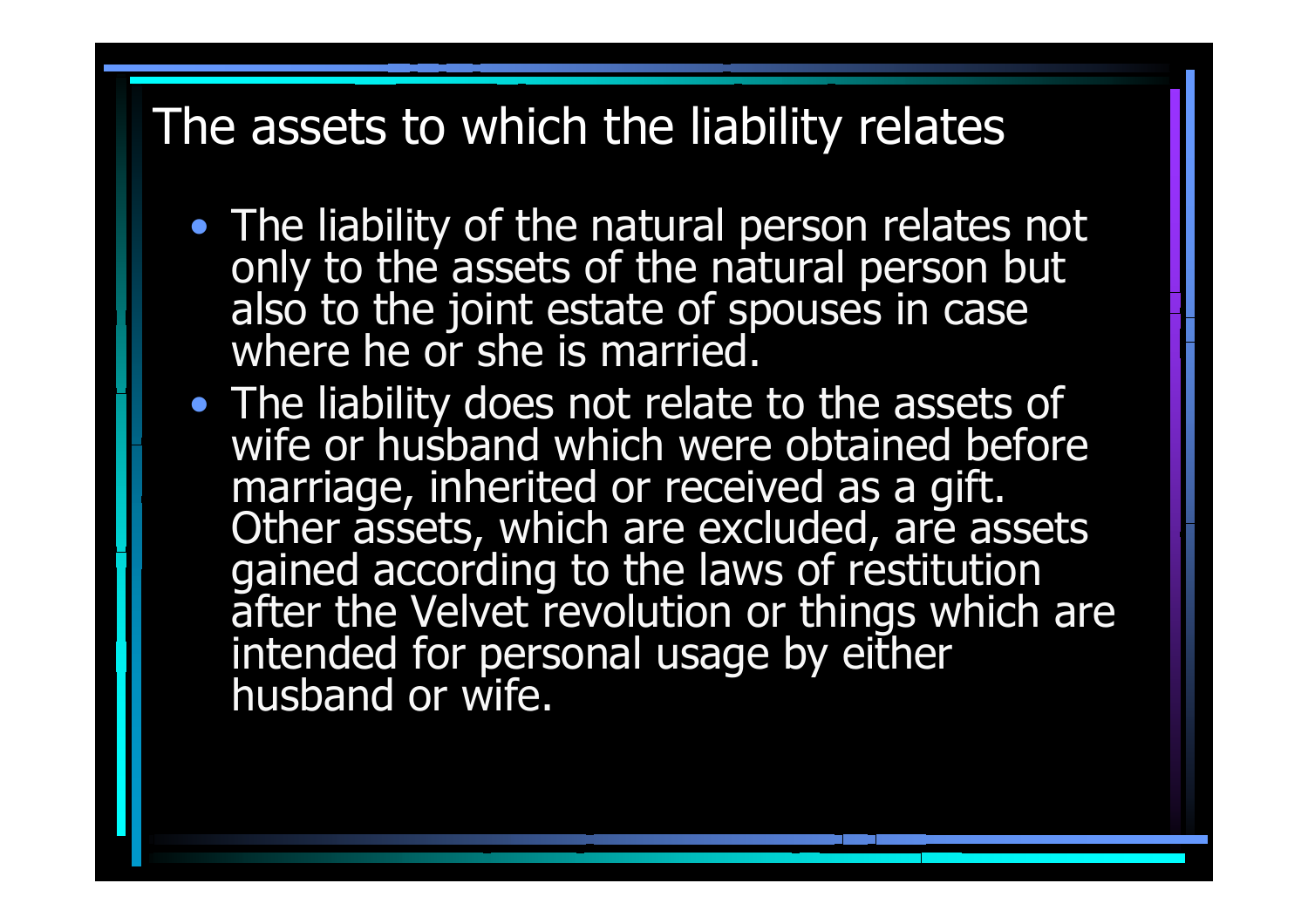#### The assets to which the liability relates

- The liability of the natural person relates not only to the assets of the natural person but<br>also to the joint estate of spouses in case<br>where he or she is married.
- The liability does not relate to the assets of wife or husband which were obtained before marriage, inherited or received as a gift.<br>Other assets, which are excluded, are assets<br>gained according to the laws of restitution after the Velvet revolution or things which are intended for personal usage by either husband or wife.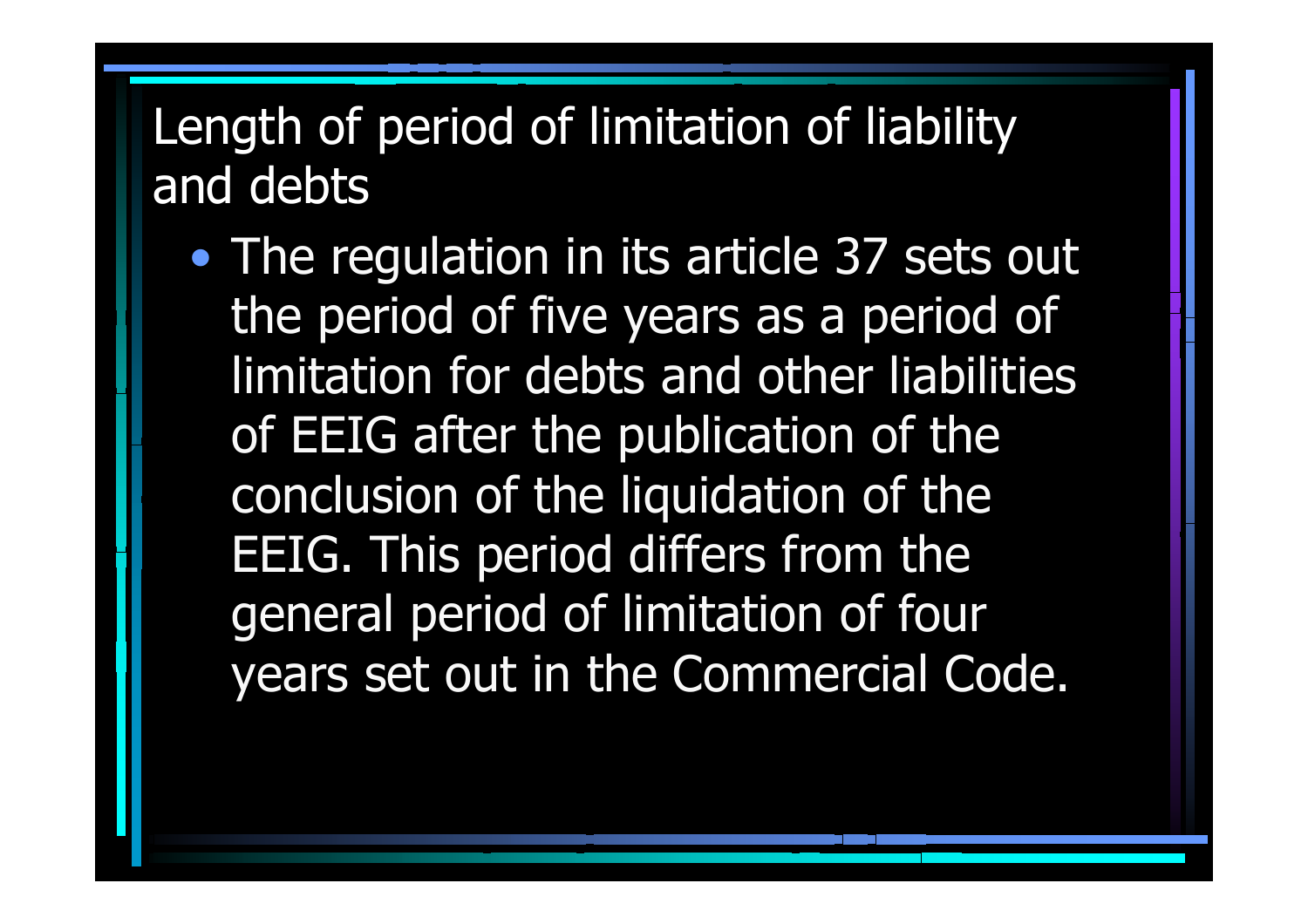### Length of period of limitation of liability and debts

 $\bullet$ • The regulation in its article 37 sets out the period of five years as a period of limitation for debts and other liabilities of EEIG after the publication of the conclusion of the liquidation of the EEIG. This period differs from the general period of limitation of four years set out in the Commercial Code.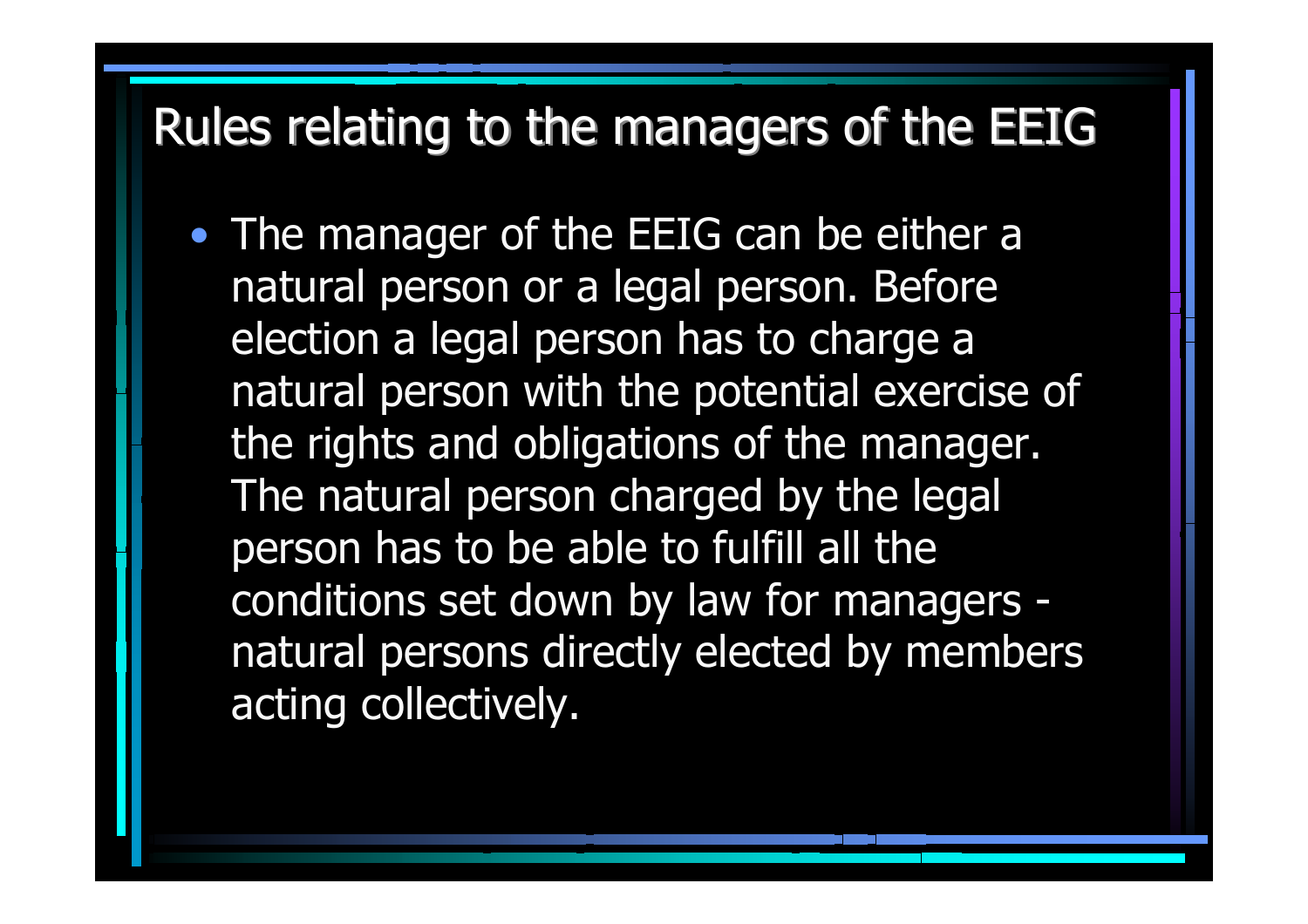#### Rules relating to the managers of the EEIG

• The manager of the EEIG can be either a natural person or a legal person. Before election a legal person has to charge a natural person with the potential exercise of the rights and obligations of the manager. The natural person charged by the legal person has to be able to fulfill all the conditions set down by law for managers natural persons directly elected by members acting collectively.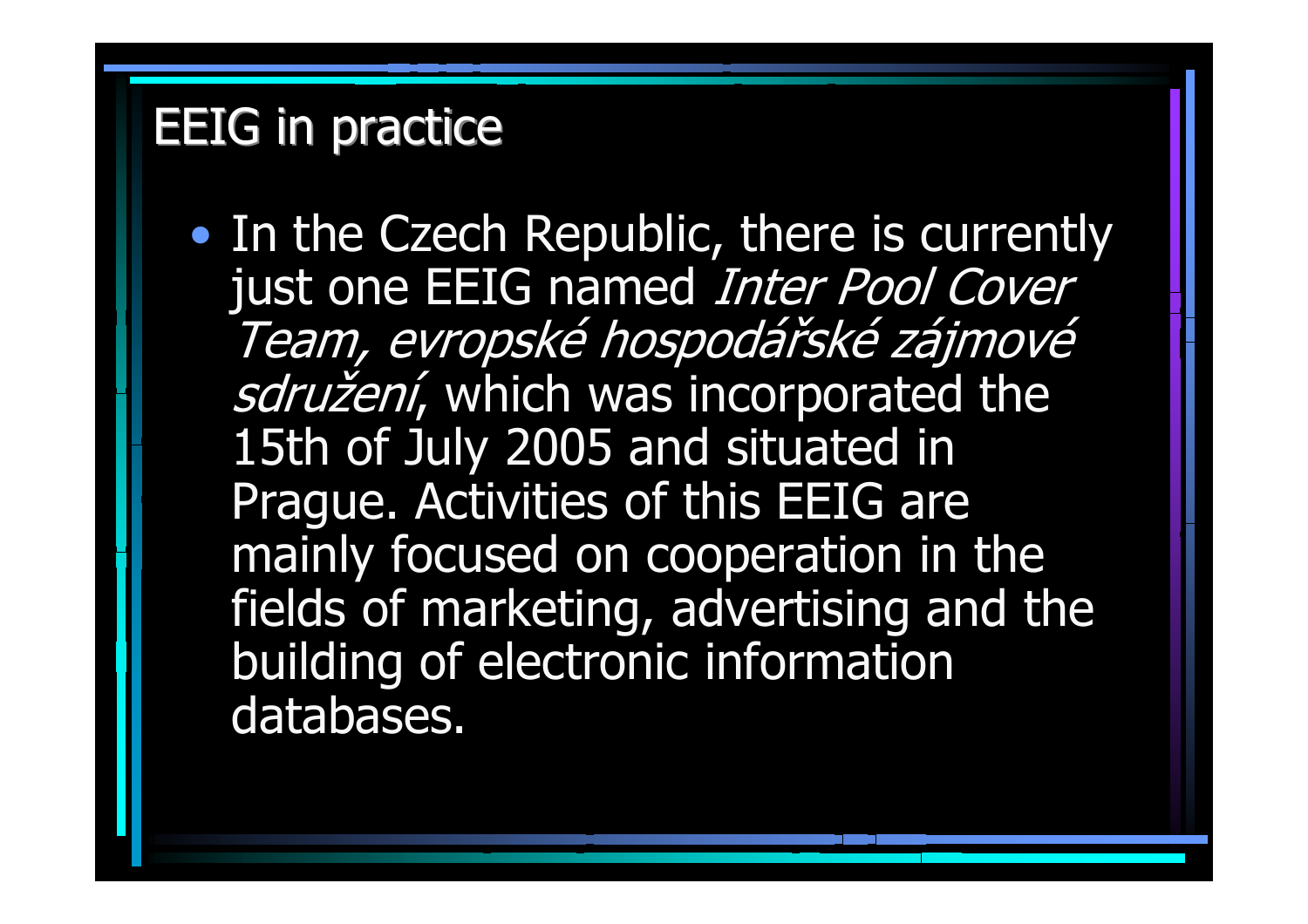#### **EEIG in practice**

 $\bullet$ • In the Czech Republic, there is currently just one EEIG named *Inter Pool Cover* Team, evropské hospodářské zájmové sdružení, which was incorporated the 15th of July 2005 and situated in Prague. Activities of this EEIG are mainly focused on cooperation in the fields of marketing, advertising and the building of electronic information databases.